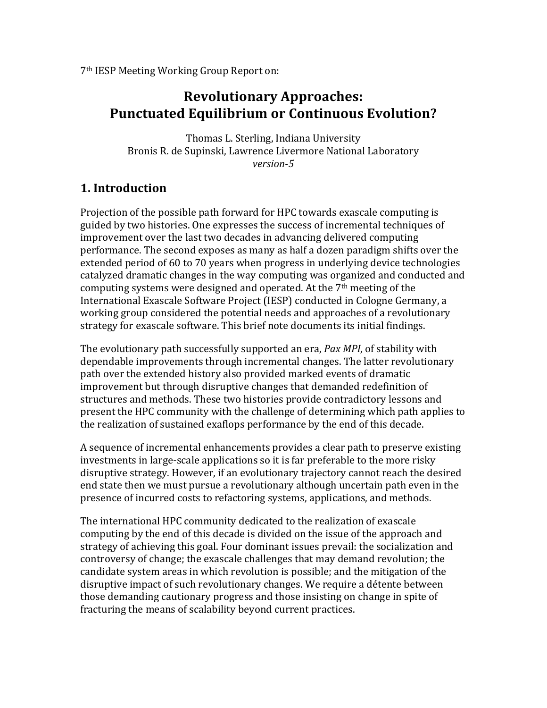7th IESP Meeting Working Group Report on:

# **Revolutionary Approaches: Punctuated Equilibrium or Continuous Evolution?**

Thomas L. Sterling, Indiana University Bronis R. de Supinski, Lawrence Livermore National Laboratory *version-5*

## **1. Introduction**

Projection of the possible path forward for HPC towards exascale computing is guided by two histories. One expresses the success of incremental techniques of improvement over the last two decades in advancing delivered computing performance. The second exposes as many as half a dozen paradigm shifts over the extended period of 60 to 70 years when progress in underlying device technologies catalyzed dramatic changes in the way computing was organized and conducted and computing systems were designed and operated. At the  $7<sup>th</sup>$  meeting of the International Exascale Software Project (IESP) conducted in Cologne Germany, a working group considered the potential needs and approaches of a revolutionary strategy for exascale software. This brief note documents its initial findings.

The evolutionary path successfully supported an era, *Pax MPI*, of stability with dependable improvements through incremental changes. The latter revolutionary path over the extended history also provided marked events of dramatic improvement but through disruptive changes that demanded redefinition of structures and methods. These two histories provide contradictory lessons and present the HPC community with the challenge of determining which path applies to the realization of sustained exaflops performance by the end of this decade.

A sequence of incremental enhancements provides a clear path to preserve existing investments in large-scale applications so it is far preferable to the more risky disruptive strategy. However, if an evolutionary trajectory cannot reach the desired end state then we must pursue a revolutionary although uncertain path even in the presence of incurred costs to refactoring systems, applications, and methods.

The international HPC community dedicated to the realization of exascale computing by the end of this decade is divided on the issue of the approach and strategy of achieving this goal. Four dominant issues prevail: the socialization and controversy of change; the exascale challenges that may demand revolution; the candidate system areas in which revolution is possible; and the mitigation of the disruptive impact of such revolutionary changes. We require a détente between those demanding cautionary progress and those insisting on change in spite of fracturing the means of scalability beyond current practices.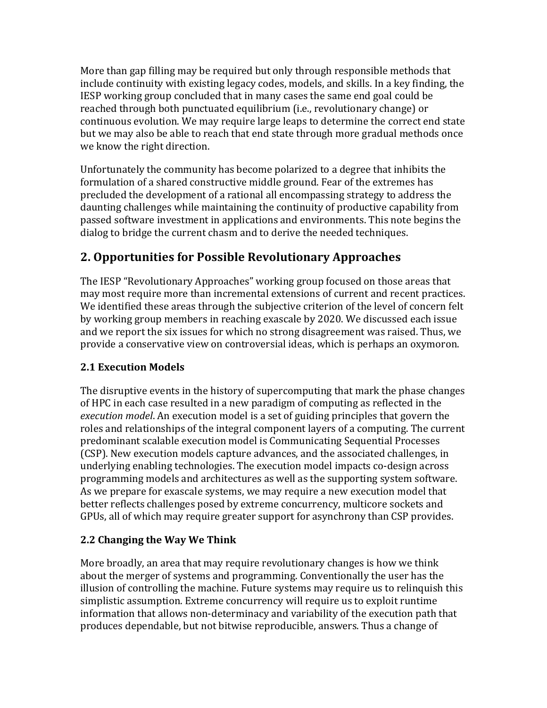More than gap filling may be required but only through responsible methods that include continuity with existing legacy codes, models, and skills. In a key finding, the IESP working group concluded that in many cases the same end goal could be reached through both punctuated equilibrium (i.e., revolutionary change) or continuous evolution. We may require large leaps to determine the correct end state but we may also be able to reach that end state through more gradual methods once we know the right direction.

Unfortunately the community has become polarized to a degree that inhibits the formulation of a shared constructive middle ground. Fear of the extremes has precluded the development of a rational all encompassing strategy to address the daunting challenges while maintaining the continuity of productive capability from passed software investment in applications and environments. This note begins the dialog to bridge the current chasm and to derive the needed techniques.

# **2. Opportunities for Possible Revolutionary Approaches**

The IESP "Revolutionary Approaches" working group focused on those areas that may most require more than incremental extensions of current and recent practices. We identified these areas through the subjective criterion of the level of concern felt by working group members in reaching exascale by 2020. We discussed each issue and we report the six issues for which no strong disagreement was raised. Thus, we provide a conservative view on controversial ideas, which is perhaps an oxymoron.

## **2.1 Execution Models**

The disruptive events in the history of supercomputing that mark the phase changes of HPC in each case resulted in a new paradigm of computing as reflected in the *execution* model. An execution model is a set of guiding principles that govern the roles and relationships of the integral component layers of a computing. The current predominant scalable execution model is Communicating Sequential Processes (CSP). New execution models capture advances, and the associated challenges, in underlying enabling technologies. The execution model impacts co-design across programming models and architectures as well as the supporting system software. As we prepare for exascale systems, we may require a new execution model that better reflects challenges posed by extreme concurrency, multicore sockets and GPUs, all of which may require greater support for asynchrony than CSP provides.

## **2.2 Changing the Way We Think**

More broadly, an area that may require revolutionary changes is how we think about the merger of systems and programming. Conventionally the user has the illusion of controlling the machine. Future systems may require us to relinquish this simplistic assumption. Extreme concurrency will require us to exploit runtime information that allows non-determinacy and variability of the execution path that produces dependable, but not bitwise reproducible, answers. Thus a change of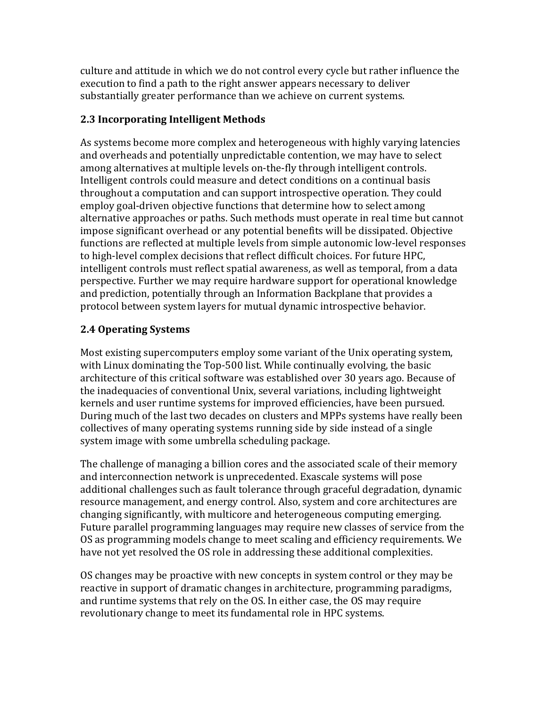culture and attitude in which we do not control every cycle but rather influence the execution to find a path to the right answer appears necessary to deliver substantially greater performance than we achieve on current systems.

#### **2.3 Incorporating Intelligent Methods**

As systems become more complex and heterogeneous with highly varying latencies and overheads and potentially unpredictable contention, we may have to select among alternatives at multiple levels on-the-fly through intelligent controls. Intelligent controls could measure and detect conditions on a continual basis throughout a computation and can support introspective operation. They could employ goal-driven objective functions that determine how to select among alternative approaches or paths. Such methods must operate in real time but cannot impose significant overhead or any potential benefits will be dissipated. Objective functions are reflected at multiple levels from simple autonomic low-level responses to high-level complex decisions that reflect difficult choices. For future HPC, intelligent controls must reflect spatial awareness, as well as temporal, from a data perspective. Further we may require hardware support for operational knowledge and prediction, potentially through an Information Backplane that provides a protocol between system layers for mutual dynamic introspective behavior.

## **2.4 Operating Systems**

Most existing supercomputers employ some variant of the Unix operating system, with Linux dominating the Top-500 list. While continually evolving, the basic architecture of this critical software was established over 30 years ago. Because of the inadequacies of conventional Unix, several variations, including lightweight kernels and user runtime systems for improved efficiencies, have been pursued. During much of the last two decades on clusters and MPPs systems have really been collectives of many operating systems running side by side instead of a single system image with some umbrella scheduling package.

The challenge of managing a billion cores and the associated scale of their memory and interconnection network is unprecedented. Exascale systems will pose additional challenges such as fault tolerance through graceful degradation, dynamic resource management, and energy control. Also, system and core architectures are changing significantly, with multicore and heterogeneous computing emerging. Future parallel programming languages may require new classes of service from the OS as programming models change to meet scaling and efficiency requirements. We have not vet resolved the OS role in addressing these additional complexities.

OS changes may be proactive with new concepts in system control or they may be reactive in support of dramatic changes in architecture, programming paradigms, and runtime systems that rely on the OS. In either case, the OS may require revolutionary change to meet its fundamental role in HPC systems.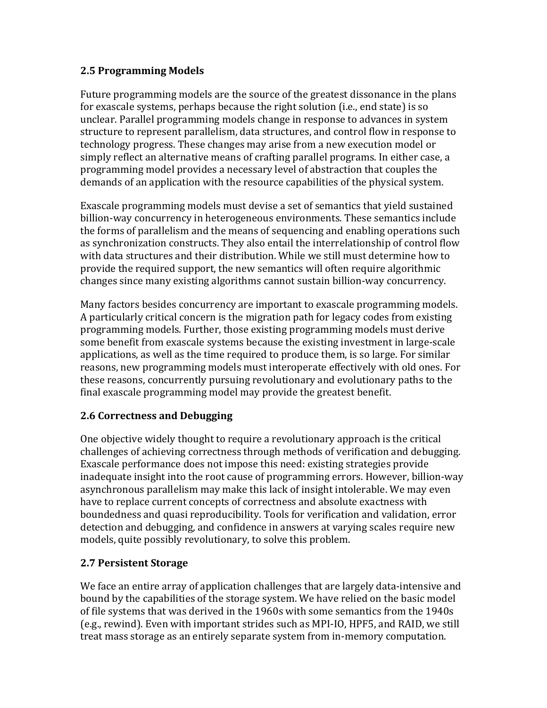#### **2.5 Programming Models**

Future programming models are the source of the greatest dissonance in the plans for exascale systems, perhaps because the right solution (i.e., end state) is so unclear. Parallel programming models change in response to advances in system structure to represent parallelism, data structures, and control flow in response to technology progress. These changes may arise from a new execution model or simply reflect an alternative means of crafting parallel programs. In either case, a programming model provides a necessary level of abstraction that couples the demands of an application with the resource capabilities of the physical system.

Exascale programming models must devise a set of semantics that yield sustained billion-way concurrency in heterogeneous environments. These semantics include the forms of parallelism and the means of sequencing and enabling operations such as synchronization constructs. They also entail the interrelationship of control flow with data structures and their distribution. While we still must determine how to provide the required support, the new semantics will often require algorithmic changes since many existing algorithms cannot sustain billion-way concurrency.

Many factors besides concurrency are important to exascale programming models. A particularly critical concern is the migration path for legacy codes from existing programming models. Further, those existing programming models must derive some benefit from exascale systems because the existing investment in large-scale applications, as well as the time required to produce them, is so large. For similar reasons, new programming models must interoperate effectively with old ones. For these reasons, concurrently pursuing revolutionary and evolutionary paths to the final exascale programming model may provide the greatest benefit.

#### **2.6 Correctness and Debugging**

One objective widely thought to require a revolutionary approach is the critical challenges of achieving correctness through methods of verification and debugging. Exascale performance does not impose this need: existing strategies provide inadequate insight into the root cause of programming errors. However, billion-way asynchronous parallelism may make this lack of insight intolerable. We may even have to replace current concepts of correctness and absolute exactness with boundedness and quasi reproducibility. Tools for verification and validation, error detection and debugging, and confidence in answers at varying scales require new models, quite possibly revolutionary, to solve this problem.

#### **2.7 Persistent Storage**

We face an entire array of application challenges that are largely data-intensive and bound by the capabilities of the storage system. We have relied on the basic model of file systems that was derived in the 1960s with some semantics from the 1940s (e.g., rewind). Even with important strides such as MPI-IO, HPF5, and RAID, we still treat mass storage as an entirely separate system from in-memory computation.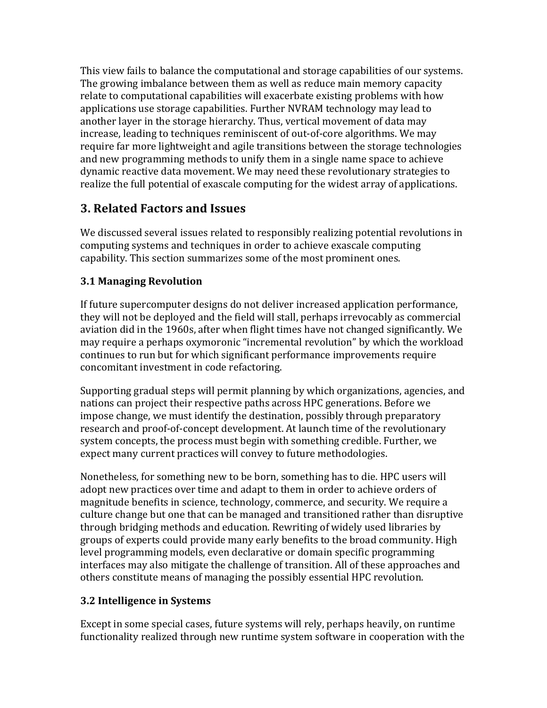This view fails to balance the computational and storage capabilities of our systems. The growing imbalance between them as well as reduce main memory capacity relate to computational capabilities will exacerbate existing problems with how applications use storage capabilities. Further NVRAM technology may lead to another layer in the storage hierarchy. Thus, vertical movement of data may increase, leading to techniques reminiscent of out-of-core algorithms. We may require far more lightweight and agile transitions between the storage technologies and new programming methods to unify them in a single name space to achieve dynamic reactive data movement. We may need these revolutionary strategies to realize the full potential of exascale computing for the widest array of applications.

# **3. Related Factors and Issues**

We discussed several issues related to responsibly realizing potential revolutions in computing systems and techniques in order to achieve exascale computing capability. This section summarizes some of the most prominent ones.

## **3.1 Managing Revolution**

If future supercomputer designs do not deliver increased application performance, they will not be deployed and the field will stall, perhaps irrevocably as commercial aviation did in the 1960s, after when flight times have not changed significantly. We may require a perhaps oxymoronic "incremental revolution" by which the workload continues to run but for which significant performance improvements require concomitant investment in code refactoring.

Supporting gradual steps will permit planning by which organizations, agencies, and nations can project their respective paths across HPC generations. Before we impose change, we must identify the destination, possibly through preparatory research and proof-of-concept development. At launch time of the revolutionary system concepts, the process must begin with something credible. Further, we expect many current practices will convey to future methodologies.

Nonetheless, for something new to be born, something has to die. HPC users will adopt new practices over time and adapt to them in order to achieve orders of magnitude benefits in science, technology, commerce, and security. We require a culture change but one that can be managed and transitioned rather than disruptive through bridging methods and education. Rewriting of widely used libraries by groups of experts could provide many early benefits to the broad community. High level programming models, even declarative or domain specific programming interfaces may also mitigate the challenge of transition. All of these approaches and others constitute means of managing the possibly essential HPC revolution.

## **3.2 Intelligence in Systems**

Except in some special cases, future systems will rely, perhaps heavily, on runtime functionality realized through new runtime system software in cooperation with the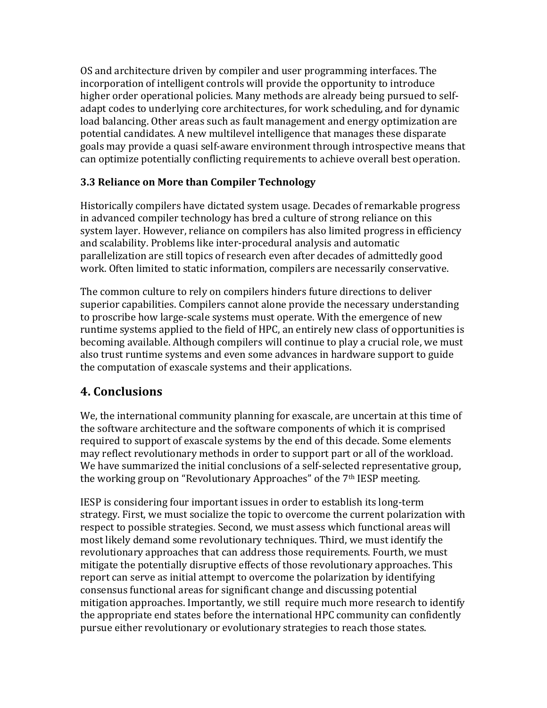OS and architecture driven by compiler and user programming interfaces. The incorporation of intelligent controls will provide the opportunity to introduce higher order operational policies. Many methods are already being pursued to selfadapt codes to underlying core architectures, for work scheduling, and for dynamic load balancing. Other areas such as fault management and energy optimization are potential candidates. A new multilevel intelligence that manages these disparate goals may provide a quasi self-aware environment through introspective means that can optimize potentially conflicting requirements to achieve overall best operation.

## **3.3 Reliance on More than Compiler Technology**

Historically compilers have dictated system usage. Decades of remarkable progress in advanced compiler technology has bred a culture of strong reliance on this system layer. However, reliance on compilers has also limited progress in efficiency and scalability. Problems like inter-procedural analysis and automatic parallelization are still topics of research even after decades of admittedly good work. Often limited to static information, compilers are necessarily conservative.

The common culture to rely on compilers hinders future directions to deliver superior capabilities. Compilers cannot alone provide the necessary understanding to proscribe how large-scale systems must operate. With the emergence of new runtime systems applied to the field of HPC, an entirely new class of opportunities is becoming available. Although compilers will continue to play a crucial role, we must also trust runtime systems and even some advances in hardware support to guide the computation of exascale systems and their applications.

## **4. Conclusions**

We, the international community planning for exascale, are uncertain at this time of the software architecture and the software components of which it is comprised required to support of exascale systems by the end of this decade. Some elements may reflect revolutionary methods in order to support part or all of the workload. We have summarized the initial conclusions of a self-selected representative group, the working group on "Revolutionary Approaches" of the  $7<sup>th</sup> IESP$  meeting.

IESP is considering four important issues in order to establish its long-term strategy. First, we must socialize the topic to overcome the current polarization with respect to possible strategies. Second, we must assess which functional areas will most likely demand some revolutionary techniques. Third, we must identify the revolutionary approaches that can address those requirements. Fourth, we must mitigate the potentially disruptive effects of those revolutionary approaches. This report can serve as initial attempt to overcome the polarization by identifying consensus functional areas for significant change and discussing potential mitigation approaches. Importantly, we still require much more research to identify the appropriate end states before the international HPC community can confidently pursue either revolutionary or evolutionary strategies to reach those states.